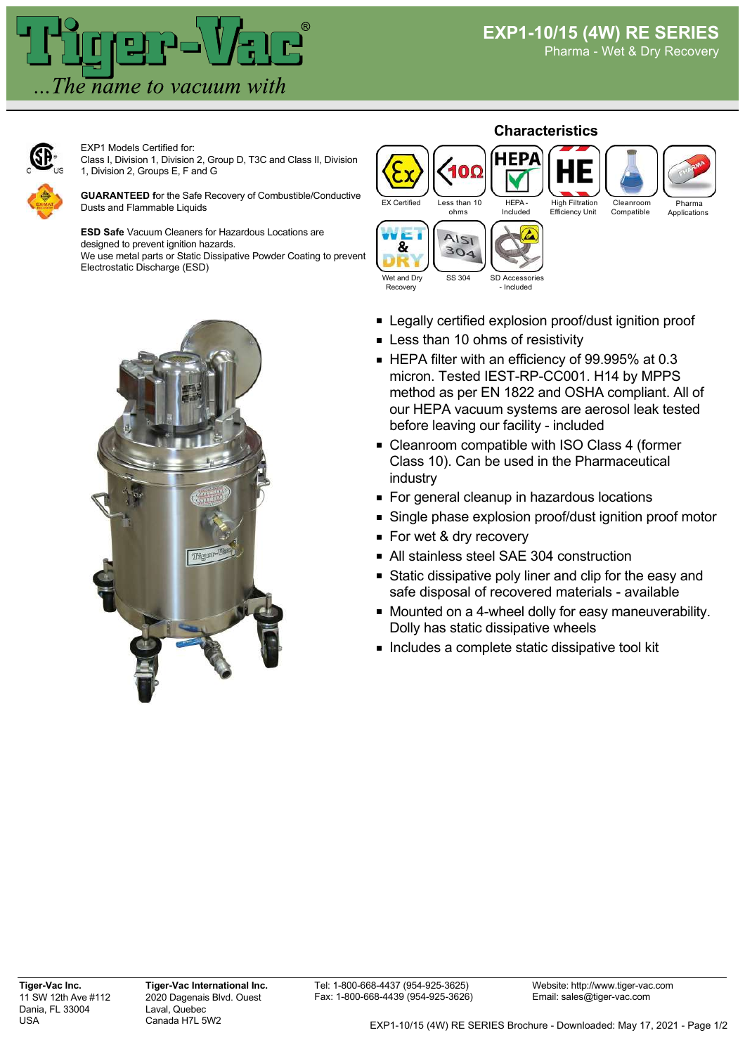

Pharma - Wet & Dry Recovery



EXP1 Models Certified for: Class I, Division 1, Division 2, Group D, T3C and Class II, Division 1, Division 2, Groups E, F and G

**GUARANTEED f**or the Safe Recovery of Combustible/Conductive Dusts and Flammable Liquids

**ESD Safe** Vacuum Cleaners for Hazardous Locations are designed to prevent ignition hazards.

We use metal parts or Static Dissipative Powder Coating to prevent Electrostatic Discharge (ESD)





- Legally certified explosion proof/dust ignition proof
- **Example 10 Less than 10 ohms of resistivity**
- HEPA filter with an efficiency of 99.995% at 0.3 micron. Tested IEST-RP-CC001. H14 by MPPS method as per EN 1822 and OSHA compliant. All of our HEPA vacuum systems are aerosol leak tested before leaving our facility - included
- Cleanroom compatible with ISO Class 4 (former Class 10). Can be used in the Pharmaceutical industry
- For general cleanup in hazardous locations
- Single phase explosion proof/dust ignition proof motor
- For wet & dry recovery
- All stainless steel SAE 304 construction
- **Static dissipative poly liner and clip for the easy and** safe disposal of recovered materials - available
- **Mounted on a 4-wheel dolly for easy maneuverability.** Dolly has static dissipative wheels
- **Includes a complete static dissipative tool kit**